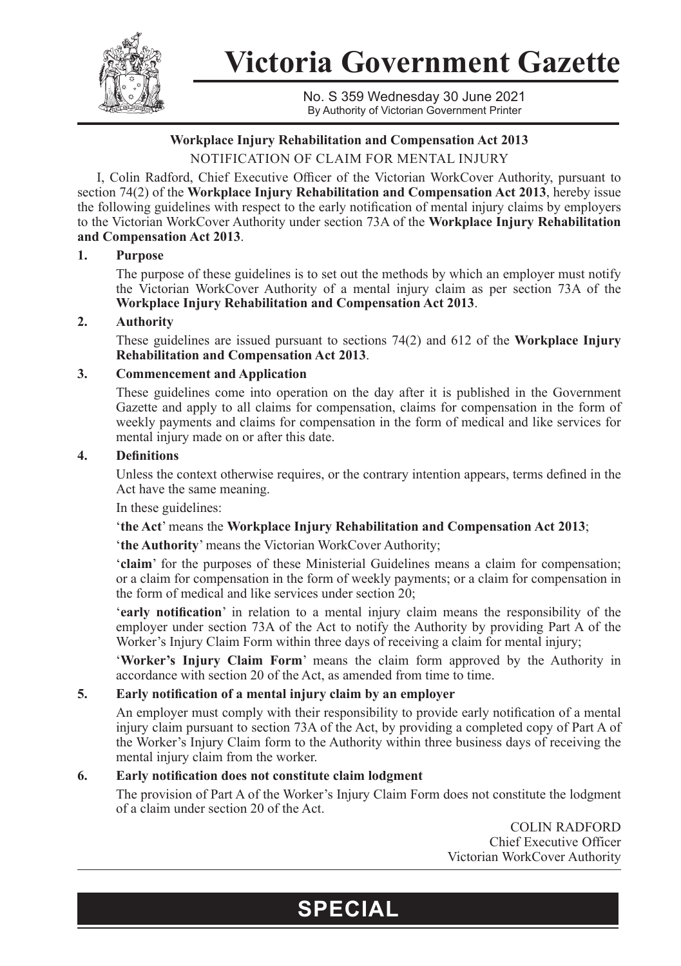

**Victoria Government Gazette**

No. S 359 Wednesday 30 June 2021 By Authority of Victorian Government Printer

# **Workplace Injury Rehabilitation and Compensation Act 2013**

NOTIFICATION OF CLAIM FOR MENTAL INJURY

I, Colin Radford, Chief Executive Officer of the Victorian WorkCover Authority, pursuant to section 74(2) of the **Workplace Injury Rehabilitation and Compensation Act 2013**, hereby issue the following guidelines with respect to the early notification of mental injury claims by employers to the Victorian WorkCover Authority under section 73A of the **Workplace Injury Rehabilitation and Compensation Act 2013**.

# **1. Purpose**

The purpose of these guidelines is to set out the methods by which an employer must notify the Victorian WorkCover Authority of a mental injury claim as per section 73A of the **Workplace Injury Rehabilitation and Compensation Act 2013**.

# **2. Authority**

These guidelines are issued pursuant to sections 74(2) and 612 of the **Workplace Injury Rehabilitation and Compensation Act 2013**.

#### **3. Commencement and Application**

These guidelines come into operation on the day after it is published in the Government Gazette and apply to all claims for compensation, claims for compensation in the form of weekly payments and claims for compensation in the form of medical and like services for mental injury made on or after this date.

#### **4. Definitions**

Unless the context otherwise requires, or the contrary intention appears, terms defined in the Act have the same meaning.

In these guidelines:

'**the Act**' means the **Workplace Injury Rehabilitation and Compensation Act 2013**;

'**the Authority**' means the Victorian WorkCover Authority;

'**claim**' for the purposes of these Ministerial Guidelines means a claim for compensation; or a claim for compensation in the form of weekly payments; or a claim for compensation in the form of medical and like services under section 20;

'**early notification**' in relation to a mental injury claim means the responsibility of the employer under section 73A of the Act to notify the Authority by providing Part A of the Worker's Injury Claim Form within three days of receiving a claim for mental injury;

'**Worker's Injury Claim Form**' means the claim form approved by the Authority in accordance with section 20 of the Act, as amended from time to time.

# **5. Early notification of a mental injury claim by an employer**

An employer must comply with their responsibility to provide early notification of a mental injury claim pursuant to section 73A of the Act, by providing a completed copy of Part A of the Worker's Injury Claim form to the Authority within three business days of receiving the mental injury claim from the worker.

# **6. Early notification does not constitute claim lodgment**

The provision of Part A of the Worker's Injury Claim Form does not constitute the lodgment of a claim under section 20 of the Act.

**SPECIAL**

COLIN RADFORD Chief Executive Officer Victorian WorkCover Authority